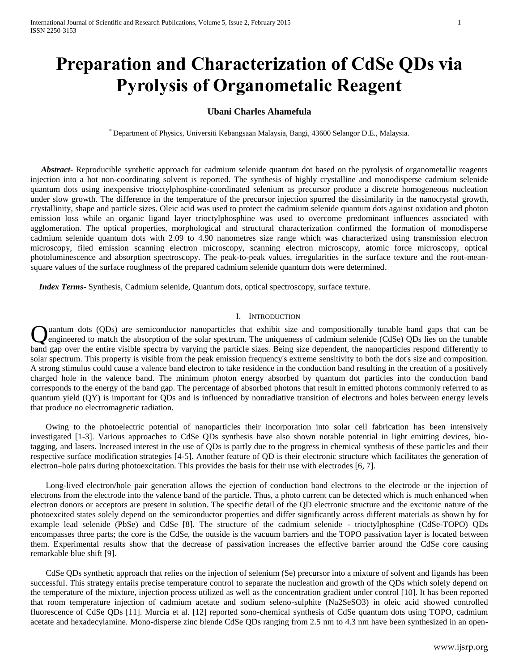# **Preparation and Characterization of CdSe QDs via Pyrolysis of Organometalic Reagent**

## **Ubani Charles Ahamefula**

\* Department of Physics, Universiti Kebangsaan Malaysia, Bangi, 43600 Selangor D.E., Malaysia.

 *Abstract***-** Reproducible synthetic approach for cadmium selenide quantum dot based on the pyrolysis of organometallic reagents injection into a hot non-coordinating solvent is reported. The synthesis of highly crystalline and monodisperse cadmium selenide quantum dots using inexpensive trioctylphosphine-coordinated selenium as precursor produce a discrete homogeneous nucleation under slow growth. The difference in the temperature of the precursor injection spurred the dissimilarity in the nanocrystal growth, crystallinity, shape and particle sizes. Oleic acid was used to protect the cadmium selenide quantum dots against oxidation and photon emission loss while an organic ligand layer trioctylphosphine was used to overcome predominant influences associated with agglomeration. The optical properties, morphological and structural characterization confirmed the formation of monodisperse cadmium selenide quantum dots with 2.09 to 4.90 nanometres size range which was characterized using transmission electron microscopy, filed emission scanning electron microscopy, scanning electron microscopy, atomic force microscopy, optical photoluminescence and absorption spectroscopy. The peak-to-peak values, irregularities in the surface texture and the root-meansquare values of the surface roughness of the prepared cadmium selenide quantum dots were determined.

 *Index Terms*- Synthesis, Cadmium selenide, Quantum dots, optical spectroscopy, surface texture.

# I. INTRODUCTION

uantum dots (QDs) are semiconductor nanoparticles that exhibit size and compositionally tunable band gaps that can be engineered to match the absorption of the solar spectrum. The uniqueness of cadmium selenide (CdSe) QDs lies on the tunable **C**uantum dots (QDs) are semiconductor nanoparticles that exhibit size and compositionally tunable band gaps that can be engineered to match the absorption of the solar spectrum. The uniqueness of cadmium selenide (CdSe) Q solar spectrum. This property is visible from the peak emission frequency's extreme sensitivity to both the dot's size and composition. A strong stimulus could cause a valence band electron to take residence in the conduction band resulting in the creation of a positively charged hole in the valence band. The minimum photon energy absorbed by quantum dot particles into the conduction band corresponds to the energy of the band gap. The percentage of absorbed photons that result in emitted photons commonly referred to as quantum yield (QY) is important for QDs and is influenced by nonradiative transition of electrons and holes between energy levels that produce no electromagnetic radiation.

Owing to the photoelectric potential of nanoparticles their incorporation into solar cell fabrication has been intensively investigated [1-3]. Various approaches to CdSe QDs synthesis have also shown notable potential in light emitting devices, biotagging, and lasers. Increased interest in the use of QDs is partly due to the progress in chemical synthesis of these particles and their respective surface modification strategies [4-5]. Another feature of QD is their electronic structure which facilitates the generation of electron–hole pairs during photoexcitation. This provides the basis for their use with electrodes [6, 7].

Long-lived electron/hole pair generation allows the ejection of conduction band electrons to the electrode or the injection of electrons from the electrode into the valence band of the particle. Thus, a photo current can be detected which is much enhanced when electron donors or acceptors are present in solution. The specific detail of the QD electronic structure and the excitonic nature of the photoexcited states solely depend on the semiconductor properties and differ significantly across different materials as shown by for example lead selenide (PbSe) and CdSe [8]. The structure of the cadmium selenide - trioctylphosphine (CdSe-TOPO) QDs encompasses three parts; the core is the CdSe, the outside is the vacuum barriers and the TOPO passivation layer is located between them. Experimental results show that the decrease of passivation increases the effective barrier around the CdSe core causing remarkable blue shift [9].

CdSe QDs synthetic approach that relies on the injection of selenium (Se) precursor into a mixture of solvent and ligands has been successful. This strategy entails precise temperature control to separate the nucleation and growth of the QDs which solely depend on the temperature of the mixture, injection process utilized as well as the concentration gradient under control [10]. It has been reported that room temperature injection of cadmium acetate and sodium seleno-sulphite (Na2SeSO3) in oleic acid showed controlled fluorescence of CdSe QDs [11]. Murcia et al. [12] reported sono-chemical synthesis of CdSe quantum dots using TOPO, cadmium acetate and hexadecylamine. Mono-disperse zinc blende CdSe QDs ranging from 2.5 nm to 4.3 nm have been synthesized in an open-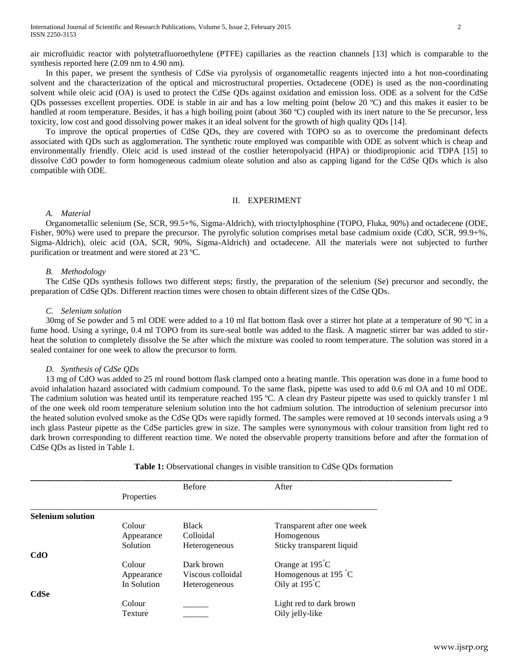In this paper, we present the synthesis of CdSe via pyrolysis of organometallic reagents injected into a hot non-coordinating solvent and the characterization of the optical and microstructural properties. Octadecene (ODE) is used as the non-coordinating solvent while oleic acid (OA) is used to protect the CdSe QDs against oxidation and emission loss. ODE as a solvent for the CdSe QDs possesses excellent properties. ODE is stable in air and has a low melting point (below 20 ºC) and this makes it easier to be handled at room temperature. Besides, it has a high boiling point (about 360 °C) coupled with its inert nature to the Se precursor, less toxicity, low cost and good dissolving power makes it an ideal solvent for the growth of high quality QDs [14].

To improve the optical properties of CdSe QDs, they are covered with TOPO so as to overcome the predominant defects associated with QDs such as agglomeration. The synthetic route employed was compatible with ODE as solvent which is cheap and environmentally friendly. Oleic acid is used instead of the costlier heteropolyacid (HPA) or thiodipropionic acid TDPA [15] to dissolve CdO powder to form homogeneous cadmium oleate solution and also as capping ligand for the CdSe QDs which is also compatible with ODE.

### II. EXPERIMENT

# *A. Material*

Organometallic selenium (Se, SCR, 99.5+%, Sigma-Aldrich), with trioctylphosphine (TOPO, Fluka, 90%) and octadecene (ODE, Fisher, 90%) were used to prepare the precursor. The pyrolyfic solution comprises metal base cadmium oxide (CdO, SCR, 99.9+%, Sigma-Aldrich), oleic acid (OA, SCR, 90%, Sigma-Aldrich) and octadecene. All the materials were not subjected to further purification or treatment and were stored at 23 ºC.

## *B. Methodology*

The CdSe QDs synthesis follows two different steps; firstly, the preparation of the selenium (Se) precursor and secondly, the preparation of CdSe QDs. Different reaction times were chosen to obtain different sizes of the CdSe QDs.

#### *C. Selenium solution*

30mg of Se powder and 5 ml ODE were added to a 10 ml flat bottom flask over a stirrer hot plate at a temperature of 90 ºC in a fume hood. Using a syringe, 0.4 ml TOPO from its sure-seal bottle was added to the flask. A magnetic stirrer bar was added to stirheat the solution to completely dissolve the Se after which the mixture was cooled to room temperature. The solution was stored in a sealed container for one week to allow the precursor to form.

#### *D. Synthesis of CdSe QDs*

13 mg of CdO was added to 25 ml round bottom flask clamped onto a heating mantle. This operation was done in a fume hood to avoid inhalation hazard associated with cadmium compound. To the same flask, pipette was used to add 0.6 ml OA and 10 ml ODE. The cadmium solution was heated until its temperature reached 195 °C. A clean dry Pasteur pipette was used to quickly transfer 1 ml of the one week old room temperature selenium solution into the hot cadmium solution. The introduction of selenium precursor into the heated solution evolved smoke as the CdSe QDs were rapidly formed. The samples were removed at 10 seconds intervals using a 9 inch glass Pasteur pipette as the CdSe particles grew in size. The samples were synonymous with colour transition from light red to dark brown corresponding to different reaction time. We noted the observable property transitions before and after the formation of CdSe QDs as listed in Table 1.

|                          |             | <b>Before</b>     | After                         |
|--------------------------|-------------|-------------------|-------------------------------|
|                          | Properties  |                   |                               |
| <b>Selenium solution</b> |             |                   |                               |
|                          | Colour      | <b>Black</b>      | Transparent after one week    |
|                          | Appearance  | Colloidal         | Homogenous                    |
|                          | Solution    | Heterogeneous     | Sticky transparent liquid     |
| CdO                      |             |                   |                               |
|                          | Colour      | Dark brown        | Orange at 195°C               |
|                          | Appearance  | Viscous colloidal | Homogenous at 195 $\degree$ C |
|                          | In Solution | Heterogeneous     | Oily at $195^{\circ}$ C       |
| <b>CdSe</b>              |             |                   |                               |
|                          | Colour      |                   | Light red to dark brown       |
|                          | Texture     |                   | Oily jelly-like               |
|                          |             |                   |                               |

**Table 1:** Observational changes in visible transition to CdSe QDs formation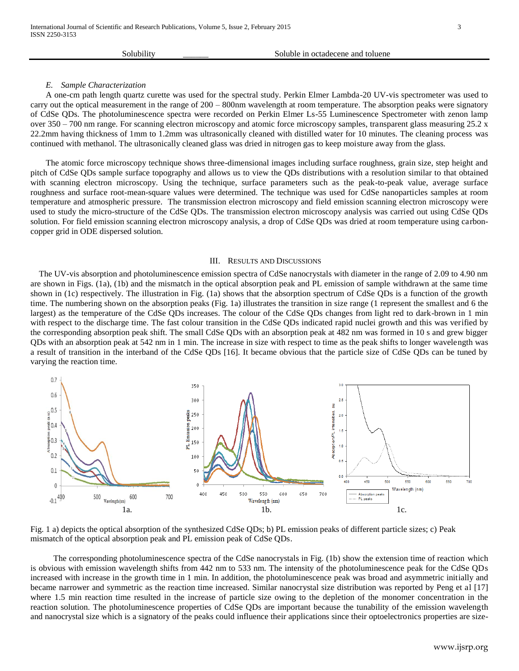| Soluble in octadecene and toluene<br>Solubility |  |
|-------------------------------------------------|--|
|-------------------------------------------------|--|

## *E. Sample Characterization*

A one-cm path length quartz curette was used for the spectral study. Perkin Elmer Lambda-20 UV-vis spectrometer was used to carry out the optical measurement in the range of 200 – 800nm wavelength at room temperature. The absorption peaks were signatory of CdSe QDs. The photoluminescence spectra were recorded on Perkin Elmer Ls-55 Luminescence Spectrometer with zenon lamp over 350 – 700 nm range. For scanning electron microscopy and atomic force microscopy samples, transparent glass measuring 25.2 x 22.2mm having thickness of 1mm to 1.2mm was ultrasonically cleaned with distilled water for 10 minutes. The cleaning process was continued with methanol. The ultrasonically cleaned glass was dried in nitrogen gas to keep moisture away from the glass*.*

The atomic force microscopy technique shows three-dimensional images including surface roughness, grain size, step height and pitch of CdSe QDs sample surface topography and allows us to view the QDs distributions with a resolution similar to that obtained with scanning electron microscopy. Using the technique, surface parameters such as the peak-to-peak value, average surface roughness and surface root-mean-square values were determined. The technique was used for CdSe nanoparticles samples at room temperature and atmospheric pressure. The transmission electron microscopy and field emission scanning electron microscopy were used to study the micro-structure of the CdSe QDs. The transmission electron microscopy analysis was carried out using CdSe QDs solution. For field emission scanning electron microscopy analysis, a drop of CdSe QDs was dried at room temperature using carboncopper grid in ODE dispersed solution.

#### III. RESULTS AND DISCUSSIONS

 The UV-vis absorption and photoluminescence emission spectra of CdSe nanocrystals with diameter in the range of 2.09 to 4.90 nm are shown in Figs. (1a), (1b) and the mismatch in the optical absorption peak and PL emission of sample withdrawn at the same time shown in (1c) respectively. The illustration in Fig. (1a) shows that the absorption spectrum of CdSe QDs is a function of the growth time. The numbering shown on the absorption peaks (Fig. 1a) illustrates the transition in size range (1 represent the smallest and 6 the largest) as the temperature of the CdSe QDs increases. The colour of the CdSe QDs changes from light red to dark-brown in 1 min with respect to the discharge time. The fast colour transition in the CdSe QDs indicated rapid nuclei growth and this was verified by the corresponding absorption peak shift. The small CdSe QDs with an absorption peak at 482 nm was formed in 10 s and grew bigger QDs with an absorption peak at 542 nm in 1 min. The increase in size with respect to time as the peak shifts to longer wavelength was a result of transition in the interband of the CdSe QDs [16]. It became obvious that the particle size of CdSe QDs can be tuned by varying the reaction time.



Fig. 1 a) depicts the optical absorption of the synthesized CdSe QDs; b) PL emission peaks of different particle sizes; c) Peak mismatch of the optical absorption peak and PL emission peak of CdSe QDs.

The corresponding photoluminescence spectra of the CdSe nanocrystals in Fig. (1b) show the extension time of reaction which is obvious with emission wavelength shifts from 442 nm to 533 nm. The intensity of the photoluminescence peak for the CdSe QDs increased with increase in the growth time in 1 min. In addition, the photoluminescence peak was broad and asymmetric initially and became narrower and symmetric as the reaction time increased. Similar nanocrystal size distribution was reported by Peng et al [17] where 1.5 min reaction time resulted in the increase of particle size owing to the depletion of the monomer concentration in the reaction solution. The photoluminescence properties of CdSe QDs are important because the tunability of the emission wavelength and nanocrystal size which is a signatory of the peaks could influence their applications since their optoelectronics properties are size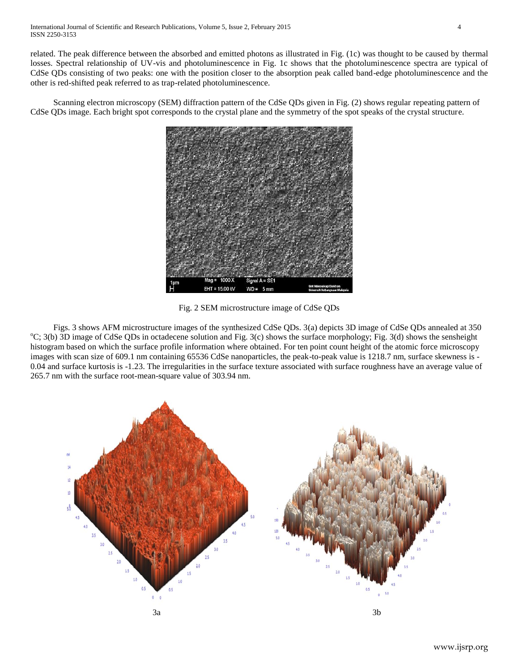related. The peak difference between the absorbed and emitted photons as illustrated in Fig. (1c) was thought to be caused by thermal losses. Spectral relationship of UV-vis and photoluminescence in Fig. 1c shows that the photoluminescence spectra are typical of CdSe QDs consisting of two peaks: one with the position closer to the absorption peak called band-edge photoluminescence and the other is red-shifted peak referred to as trap-related photoluminescence.

Scanning electron microscopy (SEM) diffraction pattern of the CdSe QDs given in Fig. (2) shows regular repeating pattern of CdSe QDs image. Each bright spot corresponds to the crystal plane and the symmetry of the spot speaks of the crystal structure.



Fig. 2 SEM microstructure image of CdSe QDs

Figs. 3 shows AFM microstructure images of the synthesized CdSe QDs. 3(a) depicts 3D image of CdSe QDs annealed at 350  $^{\circ}C$ ; 3(b) 3D image of CdSe QDs in octadecene solution and Fig. 3(c) shows the surface morphology; Fig. 3(d) shows the sensheight histogram based on which the surface profile information where obtained. For ten point count height of the atomic force microscopy images with scan size of 609.1 nm containing 65536 CdSe nanoparticles, the peak-to-peak value is 1218.7 nm, surface skewness is -0.04 and surface kurtosis is -1.23. The irregularities in the surface texture associated with surface roughness have an average value of 265.7 nm with the surface root-mean-square value of 303.94 nm.

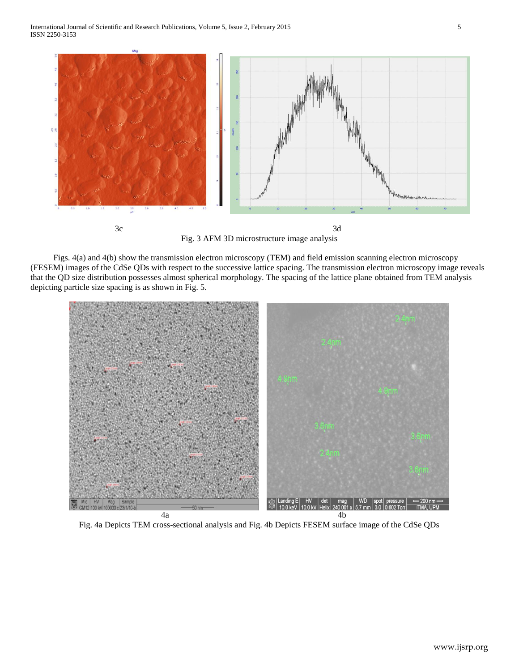

Fig. 3 AFM 3D microstructure image analysis

Figs. 4(a) and 4(b) show the transmission electron microscopy (TEM) and field emission scanning electron microscopy (FESEM) images of the CdSe QDs with respect to the successive lattice spacing. The transmission electron microscopy image reveals that the QD size distribution possesses almost spherical morphology. The spacing of the lattice plane obtained from TEM analysis depicting particle size spacing is as shown in Fig. 5.



Fig. 4a Depicts TEM cross-sectional analysis and Fig. 4b Depicts FESEM surface image of the CdSe QDs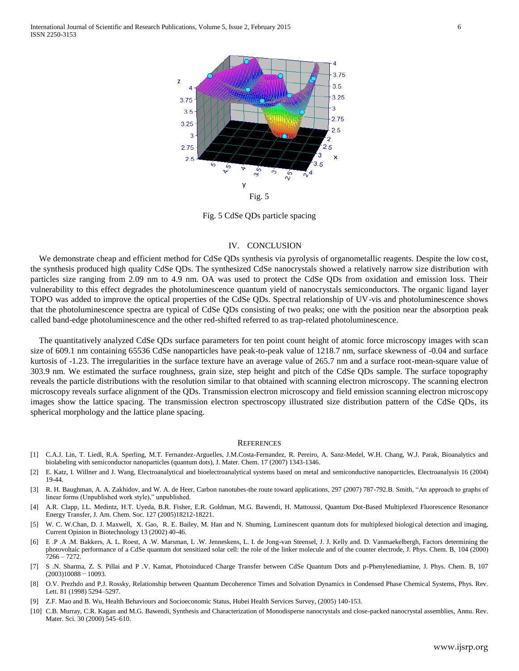

Fig. 5 CdSe QDs particle spacing

#### IV. CONCLUSION

We demonstrate cheap and efficient method for CdSe QDs synthesis via pyrolysis of organometallic reagents. Despite the low cost, the synthesis produced high quality CdSe QDs. The synthesized CdSe nanocrystals showed a relatively narrow size distribution with particles size ranging from 2.09 nm to 4.9 nm. OA was used to protect the CdSe QDs from oxidation and emission loss. Their vulnerability to this effect degrades the photoluminescence quantum yield of nanocrystals semiconductors. The organic ligand layer TOPO was added to improve the optical properties of the CdSe QDs. Spectral relationship of UV-vis and photoluminescence shows that the photoluminescence spectra are typical of CdSe QDs consisting of two peaks; one with the position near the absorption peak called band-edge photoluminescence and the other red-shifted referred to as trap-related photoluminescence.

The quantitatively analyzed CdSe QDs surface parameters for ten point count height of atomic force microscopy images with scan size of 609.1 nm containing 65536 CdSe nanoparticles have peak-to-peak value of 1218.7 nm, surface skewness of -0.04 and surface kurtosis of -1.23. The irregularities in the surface texture have an average value of 265.7 nm and a surface root-mean-square value of 303.9 nm. We estimated the surface roughness, grain size, step height and pitch of the CdSe QDs sample. The surface topography reveals the particle distributions with the resolution similar to that obtained with scanning electron microscopy. The scanning electron microscopy reveals surface alignment of the QDs. Transmission electron microscopy and field emission scanning electron microscopy images show the lattice spacing. The transmission electron spectroscopy illustrated size distribution pattern of the CdSe QDs, its spherical morphology and the lattice plane spacing.

#### **REFERENCES**

- [1] C.A.J. Lin, T. Liedl, R.A. Sperling, M.T. Fernandez-Arguelles, J.M.Costa-Fernandez, R. Pereiro, A. Sanz-Medel, W.H. Chang, W.J. Parak, Bioanalytics and biolabeling with semiconductor nanoparticles (quantum dots), J. Mater. Chem. 17 (2007) 1343-1346.
- [2] E. Katz, I. Willner and J. Wang, Electroanalytical and bioelectroanalytical systems based on metal and semiconductive nanoparticles, Electroanalysis 16 (2004) 19-44.
- [3] R. H. Baughman, A. A. Zakhidov, and W. A. de Heer, Carbon nanotubes-the route toward applications, 297 (2007) 787-792.B. Smith, "An approach to graphs of linear forms (Unpublished work style)," unpublished.
- [4] A.R. Clapp, I.L. Medintz, H.T. Uyeda, B.R. Fisher, E.R. Goldman, M.G. Bawendi, H. Mattoussi, Quantum Dot-Based Multiplexed Fluorescence Resonance Energy Transfer, J. Am. Chem. Soc. 127 (2005)18212-18221.
- [5] W. C. W.Chan, D. J. Maxwell, X. Gao, R. E. Bailey, M. Han and N. Shuming, Luminescent quantum dots for multiplexed biological detection and imaging, Current Opinion in Biotechnology 13 (2002) 40-46.
- [6] E .P .A .M. Bakkers, A. L. Roest, A .W. Marsman, L .W. Jenneskens, L. I. de Jong-van Steensel, J. J. Kelly and. D. Vanmaekelbergh, Factors determining the photovoltaic performance of a CdSe quantum dot sensitized solar cell: the role of the linker molecule and of the counter electrode, J. Phys. Chem. B, 104 (2000) 7266 – 7272.
- [7] S .N. Sharma, Z. S. Pillai and P .V. Kamat, Photoinduced Charge Transfer between CdSe Quantum Dots and p-Phenylenediamine, J. Phys. Chem. B, 107  $(2003)10088 - 10093.$
- [8] O.V. Prezhdo and P.J. Rossky, Relationship between Quantum Decoherence Times and Solvation Dynamics in Condensed Phase Chemical Systems, Phys. Rev. Lett. 81 (1998) 5294–5297.
- [9] Z.F. Mao and B. Wu, Health Behaviours and Socioeconomic Status, Hubei Health Services Survey, (2005) 140-153.
- [10] C.B. Murray, C.R. Kagan and M.G. Bawendi, Synthesis and Characterization of Monodisperse nanocrystals and close-packed nanocrystal assemblies, Annu. Rev. Mater. Sci. 30 (2000) 545–610.